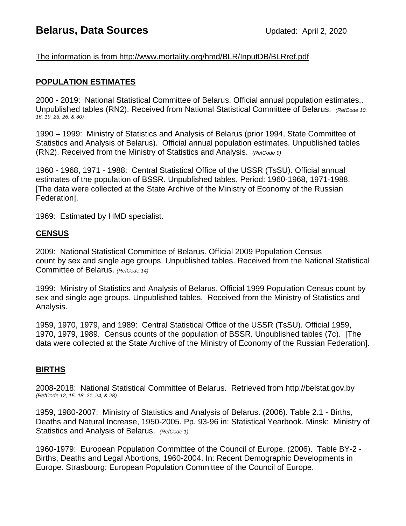# **Belarus, Data Sources Updated: April 2, 2020**

## The information is from http://www.mortality.org/hmd/BLR/InputDB/BLRref.pdf

### **POPULATION ESTIMATES**

2000 - 2019: National Statistical Committee of Belarus. Official annual population estimates,. Unpublished tables (RN2). Received from National Statistical Committee of Belarus. *(RefCode 10, 16, 19, 23, 26, & 30)*

1990 – 1999: Ministry of Statistics and Analysis of Belarus (prior 1994, State Committee of Statistics and Analysis of Belarus). Official annual population estimates. Unpublished tables (RN2). Received from the Ministry of Statistics and Analysis. *(RefCode 9)*

1960 - 1968, 1971 - 1988: Central Statistical Office of the USSR (TsSU). Official annual estimates of the population of BSSR. Unpublished tables. Period: 1960-1968, 1971-1988. [The data were collected at the State Archive of the Ministry of Economy of the Russian Federation].

1969: Estimated by HMD specialist.

#### **CENSUS**

2009: National Statistical Committee of Belarus. Official 2009 Population Census count by sex and single age groups. Unpublished tables. Received from the National Statistical Committee of Belarus. *(RefCode 14)*

1999: Ministry of Statistics and Analysis of Belarus. Official 1999 Population Census count by sex and single age groups. Unpublished tables. Received from the Ministry of Statistics and Analysis.

1959, 1970, 1979, and 1989: Central Statistical Office of the USSR (TsSU). Official 1959, 1970, 1979, 1989. Census counts of the population of BSSR. Unpublished tables (7c). [The data were collected at the State Archive of the Ministry of Economy of the Russian Federation].

#### **BIRTHS**

2008-2018: National Statistical Committee of Belarus. Retrieved from http://belstat.gov.by *(RefCode 12, 15, 18, 21, 24, & 28)*

1959, 1980-2007: Ministry of Statistics and Analysis of Belarus. (2006). Table 2.1 - Births, Deaths and Natural Increase, 1950-2005. Pp. 93-96 in: Statistical Yearbook. Minsk: Ministry of Statistics and Analysis of Belarus. *(RefCode 1)*

1960-1979: European Population Committee of the Council of Europe. (2006). Table BY-2 - Births, Deaths and Legal Abortions, 1960-2004. In: Recent Demographic Developments in Europe. Strasbourg: European Population Committee of the Council of Europe.